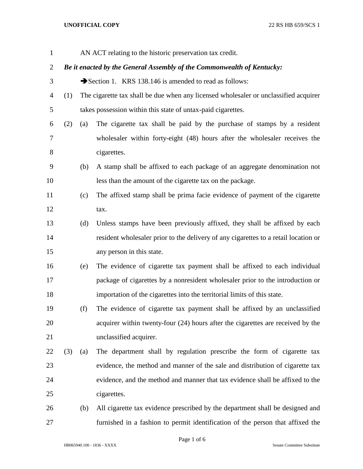## **UNOFFICIAL COPY** 22 RS HB 659/SCS 1

| $\mathbf{1}$   |     |     | AN ACT relating to the historic preservation tax credit.                             |
|----------------|-----|-----|--------------------------------------------------------------------------------------|
| $\overline{2}$ |     |     | Be it enacted by the General Assembly of the Commonwealth of Kentucky:               |
| 3              |     |     | Section 1. KRS 138.146 is amended to read as follows:                                |
| $\overline{4}$ | (1) |     | The cigarette tax shall be due when any licensed wholesaler or unclassified acquirer |
| 5              |     |     | takes possession within this state of untax-paid cigarettes.                         |
| 6              | (2) | (a) | The cigarette tax shall be paid by the purchase of stamps by a resident              |
| $\overline{7}$ |     |     | wholesaler within forty-eight (48) hours after the wholesaler receives the           |
| 8              |     |     | cigarettes.                                                                          |
| 9              |     | (b) | A stamp shall be affixed to each package of an aggregate denomination not            |
| 10             |     |     | less than the amount of the cigarette tax on the package.                            |
| 11             |     | (c) | The affixed stamp shall be prima facie evidence of payment of the cigarette          |
| 12             |     |     | tax.                                                                                 |
| 13             |     | (d) | Unless stamps have been previously affixed, they shall be affixed by each            |
| 14             |     |     | resident wholesaler prior to the delivery of any cigarettes to a retail location or  |
| 15             |     |     | any person in this state.                                                            |
| 16             |     | (e) | The evidence of cigarette tax payment shall be affixed to each individual            |
| 17             |     |     | package of cigarettes by a nonresident wholesaler prior to the introduction or       |
| 18             |     |     | importation of the cigarettes into the territorial limits of this state.             |
| 19             |     | (f) | The evidence of cigarette tax payment shall be affixed by an unclassified            |
| 20             |     |     | acquirer within twenty-four (24) hours after the cigarettes are received by the      |
| 21             |     |     | unclassified acquirer.                                                               |
| 22             | (3) | (a) | The department shall by regulation prescribe the form of cigarette tax               |
| 23             |     |     | evidence, the method and manner of the sale and distribution of cigarette tax        |
| 24             |     |     | evidence, and the method and manner that tax evidence shall be affixed to the        |
| 25             |     |     | cigarettes.                                                                          |
| 26             |     | (b) | All cigarette tax evidence prescribed by the department shall be designed and        |
| $27\,$         |     |     | furnished in a fashion to permit identification of the person that affixed the       |

Page 1 of 6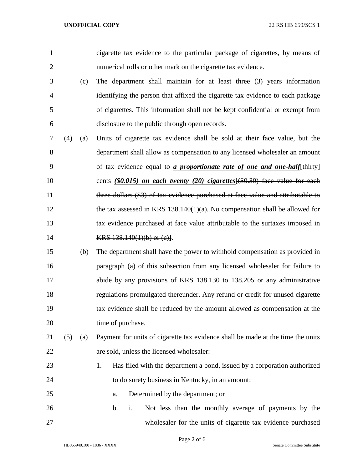| 1              |     |     | cigarette tax evidence to the particular package of cigarettes, by means of       |
|----------------|-----|-----|-----------------------------------------------------------------------------------|
| $\overline{2}$ |     |     | numerical rolls or other mark on the cigarette tax evidence.                      |
| 3              |     | (c) | The department shall maintain for at least three (3) years information            |
| $\overline{4}$ |     |     | identifying the person that affixed the cigarette tax evidence to each package    |
| 5              |     |     | of cigarettes. This information shall not be kept confidential or exempt from     |
| 6              |     |     | disclosure to the public through open records.                                    |
| 7              | (4) | (a) | Units of cigarette tax evidence shall be sold at their face value, but the        |
| 8              |     |     | department shall allow as compensation to any licensed wholesaler an amount       |
| 9              |     |     | of tax evidence equal to <i>a proportionate rate of one and one-half</i> [thirty] |
| 10             |     |     | cents $(S0.015)$ on each twenty (20) cigarettes $(\$0.30)$ face value for each    |
| 11             |     |     | three dollars (\$3) of tax evidence purchased at face value and attributable to   |
| 12             |     |     | the tax assessed in KRS $138.140(1)(a)$ . No compensation shall be allowed for    |
| 13             |     |     | tax evidence purchased at face value attributable to the surtaxes imposed in      |
| 14             |     |     | KRS $138.140(1)(b)$ or $(c)$ .                                                    |
| 15             |     | (b) | The department shall have the power to withhold compensation as provided in       |
| 16             |     |     | paragraph (a) of this subsection from any licensed wholesaler for failure to      |
| 17             |     |     | abide by any provisions of KRS 138.130 to 138.205 or any administrative           |
| 18             |     |     | regulations promulgated thereunder. Any refund or credit for unused cigarette     |
| 19             |     |     | tax evidence shall be reduced by the amount allowed as compensation at the        |
| 20             |     |     | time of purchase.                                                                 |
| 21             | (5) | (a) | Payment for units of cigarette tax evidence shall be made at the time the units   |
| 22             |     |     | are sold, unless the licensed wholesaler:                                         |
| 23             |     |     | Has filed with the department a bond, issued by a corporation authorized<br>1.    |
| 24             |     |     | to do surety business in Kentucky, in an amount:                                  |
| 25             |     |     | Determined by the department; or<br>a.                                            |
| 26             |     |     | Not less than the monthly average of payments by the<br>b.<br>i.                  |
| 27             |     |     | wholesaler for the units of cigarette tax evidence purchased                      |

Page 2 of 6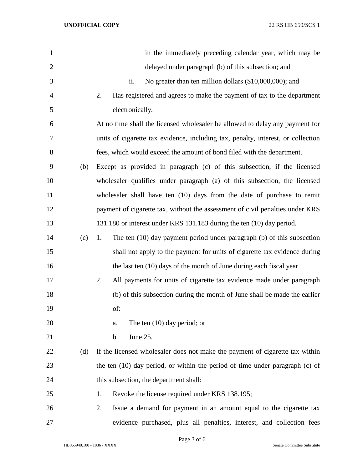| $\mathbf{1}$   |     | in the immediately preceding calendar year, which may be                         |
|----------------|-----|----------------------------------------------------------------------------------|
| $\overline{2}$ |     | delayed under paragraph (b) of this subsection; and                              |
| 3              |     | No greater than ten million dollars (\$10,000,000); and<br>ii.                   |
| $\overline{4}$ |     | Has registered and agrees to make the payment of tax to the department<br>2.     |
| 5              |     | electronically.                                                                  |
| 6              |     | At no time shall the licensed wholesaler be allowed to delay any payment for     |
| 7              |     | units of cigarette tax evidence, including tax, penalty, interest, or collection |
| 8              |     | fees, which would exceed the amount of bond filed with the department.           |
| 9              | (b) | Except as provided in paragraph (c) of this subsection, if the licensed          |
| 10             |     | wholesaler qualifies under paragraph (a) of this subsection, the licensed        |
| 11             |     | wholesaler shall have ten (10) days from the date of purchase to remit           |
| 12             |     | payment of cigarette tax, without the assessment of civil penalties under KRS    |
| 13             |     | 131.180 or interest under KRS 131.183 during the ten (10) day period.            |
| 14             | (c) | The ten $(10)$ day payment period under paragraph $(b)$ of this subsection<br>1. |
| 15             |     | shall not apply to the payment for units of cigarette tax evidence during        |
| 16             |     | the last ten (10) days of the month of June during each fiscal year.             |
| 17             |     | All payments for units of cigarette tax evidence made under paragraph<br>2.      |
| 18             |     | (b) of this subsection during the month of June shall be made the earlier        |
| 19             |     | of:                                                                              |
| 20             |     | The ten $(10)$ day period; or<br>a.                                              |
| 21             |     | June 25.<br>b.                                                                   |
| 22             | (d) | If the licensed wholesaler does not make the payment of cigarette tax within     |
| 23             |     | the ten $(10)$ day period, or within the period of time under paragraph $(c)$ of |
| 24             |     | this subsection, the department shall:                                           |
| 25             |     | Revoke the license required under KRS 138.195;<br>1.                             |
| 26             |     | Issue a demand for payment in an amount equal to the cigarette tax<br>2.         |
| 27             |     | evidence purchased, plus all penalties, interest, and collection fees            |

Page 3 of 6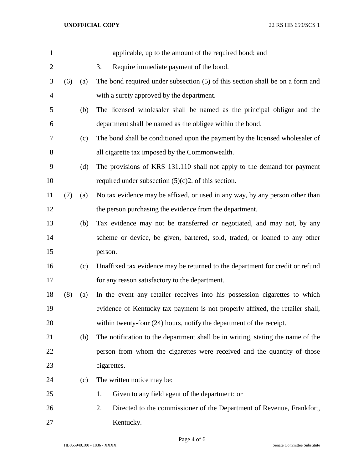| $\mathbf{1}$   |     |     | applicable, up to the amount of the required bond; and                          |
|----------------|-----|-----|---------------------------------------------------------------------------------|
| $\overline{2}$ |     |     | Require immediate payment of the bond.<br>3.                                    |
| 3              | (6) | (a) | The bond required under subsection (5) of this section shall be on a form and   |
| $\overline{4}$ |     |     | with a surety approved by the department.                                       |
| 5              |     | (b) | The licensed wholesaler shall be named as the principal obligor and the         |
| 6              |     |     | department shall be named as the obligee within the bond.                       |
| 7              |     | (c) | The bond shall be conditioned upon the payment by the licensed wholesaler of    |
| $8\,$          |     |     | all cigarette tax imposed by the Commonwealth.                                  |
| 9              |     | (d) | The provisions of KRS 131.110 shall not apply to the demand for payment         |
| 10             |     |     | required under subsection $(5)(c)2$ . of this section.                          |
| 11             | (7) | (a) | No tax evidence may be affixed, or used in any way, by any person other than    |
| 12             |     |     | the person purchasing the evidence from the department.                         |
| 13             |     | (b) | Tax evidence may not be transferred or negotiated, and may not, by any          |
| 14             |     |     | scheme or device, be given, bartered, sold, traded, or loaned to any other      |
| 15             |     |     | person.                                                                         |
| 16             |     | (c) | Unaffixed tax evidence may be returned to the department for credit or refund   |
| 17             |     |     | for any reason satisfactory to the department.                                  |
| 18             | (8) | (a) | In the event any retailer receives into his possession cigarettes to which      |
| 19             |     |     | evidence of Kentucky tax payment is not properly affixed, the retailer shall,   |
| 20             |     |     | within twenty-four (24) hours, notify the department of the receipt.            |
| 21             |     | (b) | The notification to the department shall be in writing, stating the name of the |
| 22             |     |     | person from whom the cigarettes were received and the quantity of those         |
| 23             |     |     | cigarettes.                                                                     |
| 24             |     | (c) | The written notice may be:                                                      |
| 25             |     |     | Given to any field agent of the department; or<br>1.                            |
| 26             |     |     | 2.<br>Directed to the commissioner of the Department of Revenue, Frankfort,     |
| 27             |     |     | Kentucky.                                                                       |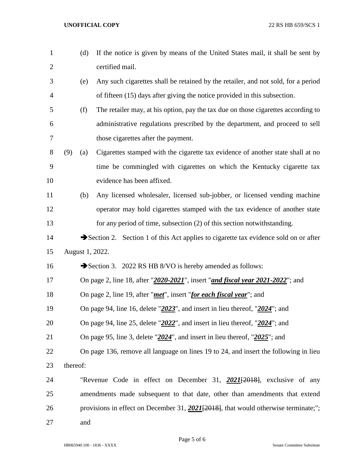| $\mathbf{1}$   |          | (d) | If the notice is given by means of the United States mail, it shall be sent by                            |
|----------------|----------|-----|-----------------------------------------------------------------------------------------------------------|
| $\overline{2}$ |          |     | certified mail.                                                                                           |
| 3              |          | (e) | Any such cigarettes shall be retained by the retailer, and not sold, for a period                         |
| $\overline{4}$ |          |     | of fifteen (15) days after giving the notice provided in this subsection.                                 |
| 5              |          | (f) | The retailer may, at his option, pay the tax due on those cigarettes according to                         |
| 6              |          |     | administrative regulations prescribed by the department, and proceed to sell                              |
| 7              |          |     | those cigarettes after the payment.                                                                       |
| 8              | (9)      | (a) | Cigarettes stamped with the cigarette tax evidence of another state shall at no                           |
| 9              |          |     | time be commingled with cigarettes on which the Kentucky cigarette tax                                    |
| 10             |          |     | evidence has been affixed.                                                                                |
| 11             |          | (b) | Any licensed wholesaler, licensed sub-jobber, or licensed vending machine                                 |
| 12             |          |     | operator may hold cigarettes stamped with the tax evidence of another state                               |
| 13             |          |     | for any period of time, subsection (2) of this section notwithstanding.                                   |
| 14             |          |     | $\blacktriangleright$ Section 2. Section 1 of this Act applies to cigarette tax evidence sold on or after |
| 15             |          |     | August 1, 2022.                                                                                           |
| 16             |          |     | Section 3. 2022 RS HB 8/VO is hereby amended as follows:                                                  |
| 17             |          |     | On page 2, line 18, after "2020-2021", insert "and fiscal year 2021-2022"; and                            |
| 18             |          |     | On page 2, line 19, after " <i>met</i> ", insert " <i>for each fiscal year</i> "; and                     |
| 19             |          |     | On page 94, line 16, delete " $2023$ ", and insert in lieu thereof, " $2024$ "; and                       |
| 20             |          |     | On page 94, line 25, delete " $2022$ ", and insert in lieu thereof, " $2024$ "; and                       |
| 21             |          |     | On page 95, line 3, delete " $2024$ ", and insert in lieu thereof, " $2025$ "; and                        |
| 22             |          |     | On page 136, remove all language on lines 19 to 24, and insert the following in lieu                      |
| 23             | thereof: |     |                                                                                                           |
| 24             |          |     | "Revenue Code in effect on December 31, $202I[2018]$ , exclusive of any                                   |
| 25             |          |     | amendments made subsequent to that date, other than amendments that extend                                |
| 26             |          |     | provisions in effect on December 31, $2021[2018]$ , that would otherwise terminate;";                     |
| 27             |          | and |                                                                                                           |